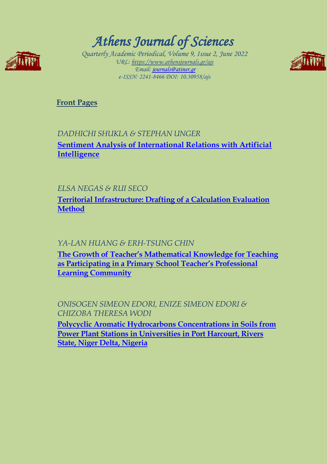

# *Athens Journal of Sciences*

*Quarterly Academic Periodical, Volume 9, Issue 2, June 2022 URL: https://www.athensjournals.gr/ajs Email: [journals@atiner.gr](mailto:journals@atiner.gr) e-ISSN: 2241-8466 DOI: 10.30958/ajs* 



**[Front Pages](https://www.athensjournals.gr/sciences/Cover-2022-02SCI.pdf)**

## *DADHICHI SHUKLA & STEPHAN UNGER*  **[Sentiment Analysis of International Relations with Artificial](http://www.athensjournals.gr/sciences/2022-9-2-1-Shukla.pdf)  [Intelligence](http://www.athensjournals.gr/sciences/2022-9-2-1-Shukla.pdf)**

### *ELSA NEGAS & RUI SECO*

**[Territorial Infrastructure: Drafting of a Calculation Evaluation](http://www.athensjournals.gr/sciences/2022-9-2-2-Negas.pdf)  [Method](http://www.athensjournals.gr/sciences/2022-9-2-2-Negas.pdf)**

### *YA-LAN HUANG & ERH-TSUNG CHIN*

**[The Growth of Teacher's Mathematical Knowledge](http://www.athensjournals.gr/sciences/2022-9-2-3-Huang.pdf) for Teaching [as Participating in a Primary School Teacher's Professional](http://www.athensjournals.gr/sciences/2022-9-2-3-Huang.pdf)  [Learning Community](http://www.athensjournals.gr/sciences/2022-9-2-3-Huang.pdf)**

*ONISOGEN SIMEON EDORI, ENIZE SIMEON EDORI & CHIZOBA THERESA WODI* **[Polycyclic Aromatic Hydrocarbons Concentrations in Soils from](http://www.athensjournals.gr/sciences/2022-9-2-4-Edori.pdf)  [Power Plant Stations in Universities in Port Harcourt, Rivers](http://www.athensjournals.gr/sciences/2022-9-2-4-Edori.pdf)** 

**[State, Niger Delta, Nigeria](http://www.athensjournals.gr/sciences/2022-9-2-4-Edori.pdf)**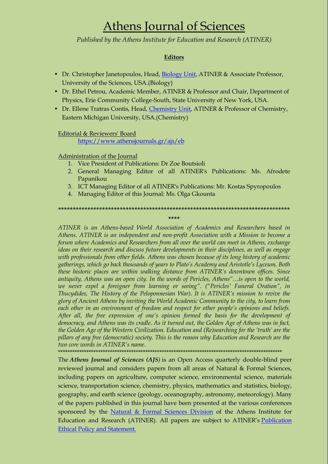# Athens Journal of Sciences

*Published by the Athens Institute for Education and Research (ATINER)*

### **Editors**

- Dr. Christopher Janetopoulos, Head, [Biology Unit,](http://www.atiner.gr/BIOLOGY-UNIT.htm) ATINER & Associate Professor, University of the Sciences, USA.(Biology)
- Dr. Ethel Petrou, Academic Member, ATINER & Professor and Chair, Department of Physics, Erie Community College-South, State University of New York, USA.
- Dr. Ellene Tratras Contis, Head, [Chemistry Unit,](http://www.atiner.gr/CHEMISTRY-UNIT.htm) ATINER & Professor of Chemistry, Eastern Michigan University, USA.(Chemistry)

### Editorial & Reviewers' Board

<https://www.athensjournals.gr/ajs/eb>

### Administration of the Journal

- 1. Vice President of Publications: Dr Zoe Boutsioli
- 2. General Managing Editor of all ATINER's Publications: Ms. Afrodete Papanikou
- 3. ICT Managing Editor of all ATINER's Publications: Mr. Kostas Spyropoulos
- 4. Managing Editor of this Journal: Ms. Olga Gkounta

### **\*\*\*\*\*\*\*\*\*\*\*\*\*\*\*\*\*\*\*\*\*\*\*\*\*\*\*\*\*\*\*\*\*\*\*\*\*\*\*\*\*\*\*\*\*\*\*\*\*\*\*\*\*\*\*\*\*\*\*\*\*\*\*\*\*\*\*\*\*\*\*\*\*\*\*\*\*\*\***

**\*\*\*\***

*ATINER is an Athens-based World Association of Academics and Researchers based in Athens. ATINER is an independent and non-profit Association with a Mission to become a forum where Academics and Researchers from all over the world can meet in Athens, exchange ideas on their research and discuss future developments in their disciplines, as well as engage with professionals from other fields. Athens was chosen because of its long history of academic gatherings, which go back thousands of years to Plato's Academy and Aristotle's Lyceum. Both these historic places are within walking distance from ATINER's downtown offices. Since antiquity, Athens was an open city. In the words of Pericles, Athens"…is open to the world, we never expel a foreigner from learning or seeing". ("Pericles' Funeral Oration", in Thucydides, The History of the Peloponnesian War). It is ATINER's mission to revive the glory of Ancient Athens by inviting the World Academic Community to the city, to learn from each other in an environment of freedom and respect for other people's opinions and beliefs. After all, the free expression of one's opinion formed the basis for the development of democracy, and Athens was its cradle. As it turned out, the Golden Age of Athens was in fact, the Golden Age of the Western Civilization. Education and (Re)searching for the 'truth' are the pillars of any free (democratic) society. This is the reason why Education and Research are the two core words in ATINER's name.*

\*\*\*\*\*\*\*\*\*\*\*\*\*\*\*\*\*\*\*\*\*\*\*\*\*\*\*\*\*\*\*\*\*\*\*\*\*\*\*\*\*\*\*\*\*\*\*\*\*\*\*\*\*\*\*\*\*\*\*\*\*\*\*\*\*\*\*\*\*\*\*\*\*\*\*\*\*\*\*\*\*\*\*\*\*\*\*\*\*\*\*\*\*\*\*

Education and Research (ATINER). All papers are subject to ATINER's <u>Publication</u> The *Athens Journal of Sciences (AJS)* is an Open Access quarterly double-blind peer reviewed journal and considers papers from all areas of Natural & Formal Sciences, including papers on agriculture, computer science, environmental science, materials science, transportation science, chemistry, physics, mathematics and statistics, biology, geography, and earth science (geology, oceanography, astronomy, meteorology). Many of the papers published in this journal have been presented at the various conferences sponsored by the [Natural & Formal Sciences Division](http://www.atiner.gr/SRD.htm) of the Athens Institute for [Ethical Policy and Statement.](https://www.athensjournals.gr/ethics.pdf)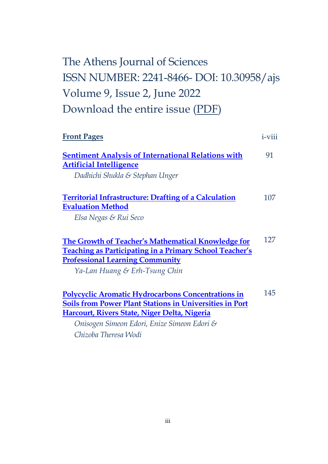# The Athens Journal of Sciences ISSN NUMBER: 2241-8466- DOI: 10.30958/ajs Volume 9, Issue 2, June 2022 Download the entire issue [\(PDF\)](https://www.athensjournals.gr/sciences/2022-02SCI.pdf)

| <b>Front Pages</b>                                             | <i>i</i> -viii |
|----------------------------------------------------------------|----------------|
| <b>Sentiment Analysis of International Relations with</b>      | 91             |
| <b>Artificial Intelligence</b>                                 |                |
| Dadhichi Shukla & Stephan Unger                                |                |
| <b>Territorial Infrastructure: Drafting of a Calculation</b>   | 107            |
| <b>Evaluation Method</b>                                       |                |
| Elsa Negas & Rui Seco                                          |                |
| The Growth of Teacher's Mathematical Knowledge for             | 127            |
| <b>Teaching as Participating in a Primary School Teacher's</b> |                |
| <b>Professional Learning Community</b>                         |                |
| Ya-Lan Huang & Erh-Tsung Chin                                  |                |
| <b>Polycyclic Aromatic Hydrocarbons Concentrations in</b>      | 145            |
| <b>Soils from Power Plant Stations in Universities in Port</b> |                |
| Harcourt, Rivers State, Niger Delta, Nigeria                   |                |
| Onisogen Simeon Edori, Enize Simeon Edori &                    |                |

*Chizoba Theresa Wodi*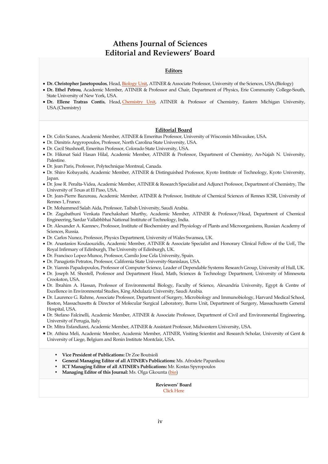### **Athens Journal of Sciences Editorial and Reviewers' Board**

#### **Editors**

- **Dr. Christopher Janetopoulos**, Head, [Biology Unit,](http://www.atiner.gr/BIOLOGY-UNIT.htm) ATINER & Associate Professor, University of the Sciences, USA.(Biology)
- **Dr. Ethel Petrou**, Academic Member, ATINER & Professor and Chair, Department of Physics, Erie Community College-South, State University of New York, USA.
- **Dr. Ellene Tratras Contis**, Head, [Chemistry Unit,](http://www.atiner.gr/CHEMISTRY-UNIT.htm) ATINER & Professor of Chemistry, Eastern Michigan University, USA.(Chemistry)

#### **Editorial Board**

- Dr. Colin Scanes, Academic Member, ATINER & Emeritus Professor, University of Wisconsin Milwaukee, USA.
- Dr. Dimitris Argyropoulos, Professor, North Carolina State University, USA.
- Dr. Cecil Stushnoff, Emeritus Professor, Colorado State University, USA.
- Dr. Hikmat Said Hasan Hilal, Academic Member, ATINER & Professor, Department of Chemistry, An-Najah N. University, Palestine.
- Dr. Jean Paris, Professor, Polytechnique Montreal, Canada.
- Dr. Shiro Kobayashi, Academic Member, ATINER & Distinguished Professor, Kyoto Institute of Technology, Kyoto University, Japan.
- Dr. Jose R. Peralta-Videa, Academic Member, ATINER & Research Specialist and Adjunct Professor, Department of Chemistry, The University of Texas at El Paso, USA.
- Dr. Jean-Pierre Bazureau, Academic Member, ATINER & Professor, Institute of Chemical Sciences of Rennes ICSR, University of Rennes 1, France.
- Dr. Mohammed Salah Aida, Professor, Taibah University, Saudi Arabia.
- Dr. Zagabathuni Venkata Panchakshari Murthy, Academic Member, ATINER & Professor/Head, Department of Chemical Engineering, Sardar Vallabhbhai National Institute of Technology, India.
- Dr. Alexander A. Kamnev, Professor, Institute of Biochemistry and Physiology of Plants and Microorganisms, Russian Academy of Sciences, Russia.
- Dr. Carlos Nunez, Professor, Physics Department, University of Wales Swansea, UK.
- Dr. Anastasios Koulaouzidis, Academic Member, ATINER & Associate Specialist and Honorary Clinical Fellow of the UoE, The Royal Infirmary of Edinburgh, The University of Edinburgh, UK.
- Dr. Francisco Lopez-Munoz, Professor, Camilo Jose Cela University, Spain.
- Dr. Panagiotis Petratos, Professor, California State University-Stanislaus, USA.
- Dr. Yiannis Papadopoulos, Professor of Computer Science, Leader of Dependable Systems Research Group, University of Hull, UK.
- Dr. Joseph M. Shostell, Professor and Department Head, Math, Sciences & Technology Department, University of Minnesota Crookston, USA.
- Dr. Ibrahim A. Hassan, Professor of Environmental Biology, Faculty of Science, Alexandria University, Egypt & Centre of Excellence in Environmental Studies, King Abdulaziz University, Saudi Arabia.
- Dr. Laurence G. Rahme, Associate Professor, Department of Surgery, Microbiology and Immunobiology, Harvard Medical School, Boston, Massachusetts & Director of Molecular Surgical Laboratory, Burns Unit, Department of Surgery, Massachusetts General Hospital, USA.
- Dr. Stefano Falcinelli, Academic Member, ATINER & Associate Professor, Department of Civil and Environmental Engineering, University of Perugia, Italy.
- Dr. Mitra Esfandiarei, Academic Member, ATINER & Assistant Professor, Midwestern University, USA.
- Dr. Athina Meli, Academic Member, Academic Member, ATINER, Visiting Scientist and Research Scholar, University of Gent & University of Liege, Belgium and Ronin Institute Montclair, USA.
	- **Vice President of Publications:** Dr Zoe Boutsioli
	- **General Managing Editor of all ATINER's Publications:** Ms. Afrodete Papanikou
	- **ICT Managing Editor of all ATINER's Publications:** Mr. Kostas Spyropoulos
	- **Managing Editor of this Journal:** Ms. Olga Gkounta [\(bio\)](https://www.athensjournals.gr/og-cv)

**Reviewers' Board** [Click Here](http://www.athensjournals.gr/ajsrb)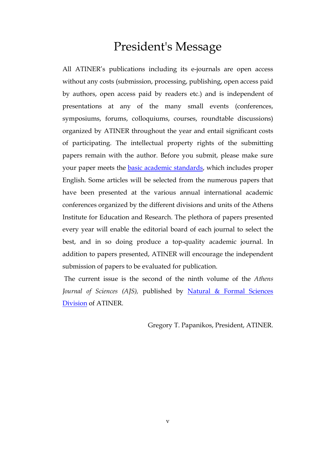# President's Message

All ATINER's publications including its e-journals are open access without any costs (submission, processing, publishing, open access paid by authors, open access paid by readers etc.) and is independent of presentations at any of the many small events (conferences, symposiums, forums, colloquiums, courses, roundtable discussions) organized by ATINER throughout the year and entail significant costs of participating. The intellectual property rights of the submitting papers remain with the author. Before you submit, please make sure your paper meets the **basic academic standards**, which includes proper English. Some articles will be selected from the numerous papers that have been presented at the various annual international academic conferences organized by the different divisions and units of the Athens Institute for Education and Research. The plethora of papers presented every year will enable the editorial board of each journal to select the best, and in so doing produce a top-quality academic journal. In addition to papers presented, ATINER will encourage the independent submission of papers to be evaluated for publication.

The current issue is the second of the ninth volume of the *Athens Journal of Sciences (AJS),* published by [Natural & Formal Sciences](http://www.atiner.gr/SRD.htm)  [Division](http://www.atiner.gr/SRD.htm) of ATINER.

Gregory T. Papanikos, President, ATINER.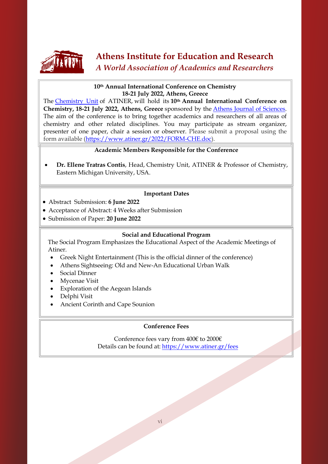

## **Athens Institute for Education and Research** *A World Association of Academics and Researchers*

### **10th Annual International Conference on Chemistry 18-21 July 2022, Athens, Greece**

The [Chemistry Unit](http://www.atiner.gr/CHEMISTRY-UNIT) of ATINER, will hold its **10th Annual International Conference on Chemistry, 18-21 July 2022, Athens, Greece** sponsored by the [Athens Journal of Sciences.](http://www.athensjournals.gr/ajs) The aim of the conference is to bring together academics and researchers of all areas of chemistry and other related disciplines. You may participate as stream organizer, presenter of one paper, chair a session or observer. Please submit a proposal using the form available [\(https://www.atiner.gr/2022/FORM-CHE.doc\)](https://www.atiner.gr/2022/FORM-CHE.doc).

### **Academic Members Responsible for the Conference**

• **Dr. Ellene Tratras Contis**, Head, [Chemistry Unit,](http://www.atiner.gr/CHEMISTRY-UNIT.htm) ATINER & Professor of Chemistry, Eastern Michigan University, USA.

### **Important Dates**

- Abstract Submission: **6 June 2022**
- Acceptance of Abstract: 4 Weeks after Submission
- Submission of Paper: **20 June 2022**

### **Social and Educational Program**

The Social Program Emphasizes the Educational Aspect of the Academic Meetings of Atiner.

- Greek Night Entertainment (This is the official dinner of the conference)
- Athens Sightseeing: Old and New-An Educational Urban Walk
- Social Dinner
- Mycenae Visit
- Exploration of the Aegean Islands
- Delphi Visit
- Ancient Corinth and Cape Sounion

### **Conference Fees**

Conference fees vary from 400€ to 2000€ Details can be found at: <https://www.atiner.gr/fees>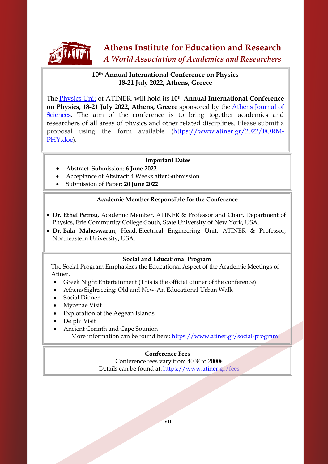

### **10th Annual International Conference on Physics 18-21 July 2022, Athens, Greece**

The [Physics Unit](http://www.atiner.gr/PHYSICS-UNIT) of ATINER, will hold its **10th Annual International Conference on Physics, 18-21 July 2022, Athens, Greece** sponsored by the [Athens Journal of](http://www.athensjournals.gr/ajs)  [Sciences.](http://www.athensjournals.gr/ajs) The aim of the conference is to bring together academics and researchers of all areas of physics and other related disciplines. Please submit a proposal using the form available [\(https://www.atiner.gr/2022/FORM-](https://www.atiner.gr/2022/FORM-PHY.doc)[PHY.doc\)](https://www.atiner.gr/2022/FORM-PHY.doc).

### **Important Dates**

- Abstract Submission: **6 June 2022**
- Acceptance of Abstract: 4 Weeks after Submission
- Submission of Paper: **20 June 2022**

### **Academic Member Responsible for the Conference**

- **Dr. Ethel Petrou**, Academic Member, ATINER & Professor and Chair, Department of Physics, Erie Community College-South, State University of New York, USA.
- **Dr. Bala Maheswaran**, Head, [Electrical Engineering Unit,](https://www.atiner.gr/ELECTRICAL-UNIT) ATINER & Professor, Northeastern University, USA.

### **Social and Educational Program**

The Social Program Emphasizes the Educational Aspect of the Academic Meetings of Atiner.

- Greek Night Entertainment (This is the official dinner of the conference)
- Athens Sightseeing: Old and New-An Educational Urban Walk
- Social Dinner
- Mycenae Visit
- Exploration of the Aegean Islands
- Delphi Visit
- Ancient Corinth and Cape Sounion More information can be found here[: https://www.atiner.gr/social-program](https://www.atiner.gr/social-program)

### **Conference Fees**

Conference fees vary from 400€ to 2000€ Details can be found at: <https://www.atiner.gr/fees>